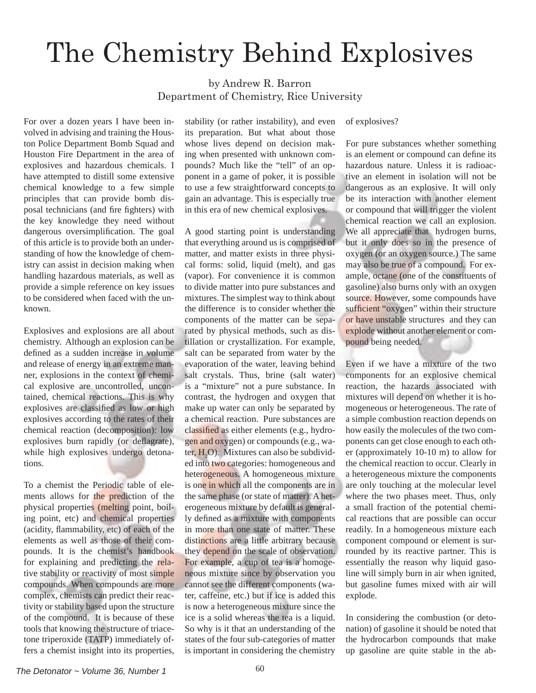## The Chemistry Behind Explosives

by Andrew R. Barron Department of Chemistry, Rice University

For over a dozen years I have been involved in advising and training the Houston Police Department Bomb Squad and Houston Fire Department in the area of explosives and hazardous chemicals. I have attempted to distill some extensive chemical knowledge to a few simple principles that can provide bomb disposal technicians (and fire fighters) with the key knowledge they need without dangerous oversimplification. The goal of this article is to provide both an understanding of how the knowledge of chemistry can assist in decision making when handling hazardous materials, as well as provide a simple reference on key issues to be considered when faced with the unknown.

Explosives and explosions are all about chemistry. Although an explosion can be defined as a sudden increase in volume and release of energy in an extreme manner, explosions in the context of chemical explosive are uncontrolled, uncontained, chemical reactions. This is why explosives are classified as low or high explosives according to the rates of their chemical reaction (decomposition): low explosives burn rapidly (or deflagrate), while high explosives undergo detonations.

To a chemist the Periodic table of elements allows for the prediction of the physical properties (melting point, boiling point, etc) and chemical properties (acidity, flammability, etc) of each of the elements as well as those of their compounds. It is the chemist's handbook for explaining and predicting the relative stability or reactivity of most simple compounds. When compounds are more complex, chemists can predict their reactivity or stability based upon the structure of the compound. It is because of these tools that knowing the structure of triacetone triperoxide (TATP) immediately offers a chemist insight into its properties,

stability (or rather instability), and even its preparation. But what about those whose lives depend on decision making when presented with unknown compounds? Much like the "tell" of an opponent in a game of poker, it is possible to use a few straightforward concepts to gain an advantage. This is especially true in this era of new chemical explosives.

A good starting point is understanding that everything around us is comprised of matter, and matter exists in three physical forms: solid, liquid (melt), and gas (vapor). For convenience it is common to divide matter into pure substances and mixtures. The simplest way to think about the difference is to consider whether the components of the matter can be separated by physical methods, such as distillation or crystallization. For example, salt can be separated from water by the evaporation of the water, leaving behind salt crystals. Thus, brine (salt water) is a "mixture" not a pure substance. In contrast, the hydrogen and oxygen that make up water can only be separated by a chemical reaction. Pure substances are classified as either elements (e.g., hydrogen and oxygen) or compounds (e.g., water,  $H_2O$ ). Mixtures can also be subdivided into two categories: homogeneous and heterogeneous. A homogeneous mixture is one in which all the components are in the same phase (or state of matter). A heterogeneous mixture by default is generally defined as a mixture with components in more than one state of matter. These distinctions are a little arbitrary because they depend on the scale of observation. For example, a cup of tea is a homogeneous mixture since by observation you cannot see the different components (water, caffeine, etc.) but if ice is added this is now a heterogeneous mixture since the ice is a solid whereas the tea is a liquid. So why is it that an understanding of the states of the four sub-categories of matter is important in considering the chemistry

## of explosives?

For pure substances whether something is an element or compound can define its hazardous nature. Unless it is radioactive an element in isolation will not be dangerous as an explosive. It will only be its interaction with another element or compound that will trigger the violent chemical reaction we call an explosion. We all appreciate that hydrogen burns, but it only does so in the presence of oxygen (or an oxygen source.) The same may also be true of a compound. For example, octane (one of the constituents of gasoline) also burns only with an oxygen source. However, some compounds have sufficient "oxygen" within their structure or have unstable structures and they can explode without another element or compound being needed.

Even if we have a mixture of the two components for an explosive chemical reaction, the hazards associated with mixtures will depend on whether it is homogeneous or heterogeneous. The rate of a simple combustion reaction depends on how easily the molecules of the two components can get close enough to each other (approximately 10-10 m) to allow for the chemical reaction to occur. Clearly in a heterogeneous mixture the components are only touching at the molecular level where the two phases meet. Thus, only a small fraction of the potential chemical reactions that are possible can occur readily. In a homogeneous mixture each component compound or element is surrounded by its reactive partner. This is essentially the reason why liquid gasoline will simply burn in air when ignited, but gasoline fumes mixed with air will explode.

In considering the combustion (or detonation) of gasoline it should be noted that the hydrocarbon compounds that make up gasoline are quite stable in the ab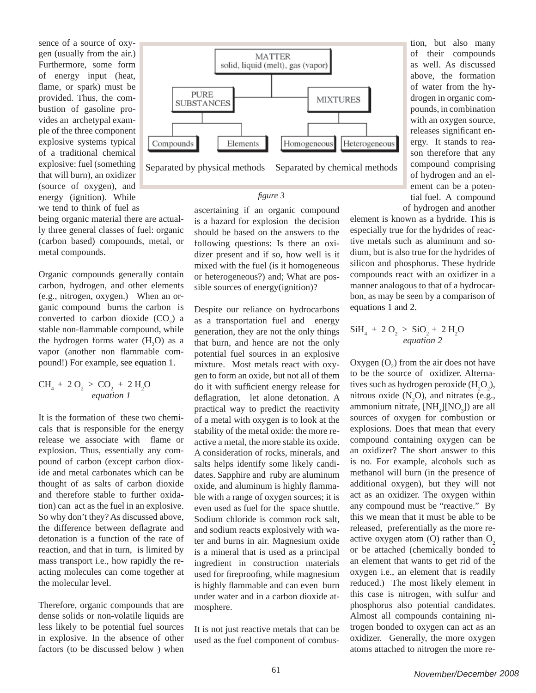sence of a source of oxygen (usually from the air.) Furthermore, some form of energy input (heat, flame, or spark) must be provided. Thus, the combustion of gasoline provides an archetypal example of the three component explosive systems typical of a traditional chemical explosive: fuel (something that will burn), an oxidizer (source of oxygen), and energy (ignition). While we tend to think of fuel as

being organic material there are actually three general classes of fuel: organic (carbon based) compounds, metal, or metal compounds.

Organic compounds generally contain carbon, hydrogen, and other elements (e.g., nitrogen, oxygen.) When an organic compound burns the carbon is converted to carbon dioxide  $(CO_2)$  a stable non-flammable compound, while the hydrogen forms water  $(H_2O)$  as a vapor (another non flammable compound!) For example, see equation 1.

## $CH_4 + 2 O_2 > CO_2 + 2 H_2 O$ *equation 1*

It is the formation of these two chemicals that is responsible for the energy release we associate with flame or explosion. Thus, essentially any compound of carbon (except carbon dioxide and metal carbonates which can be thought of as salts of carbon dioxide and therefore stable to further oxidation) can act as the fuel in an explosive. So why don't they? As discussed above, the difference between deflagrate and detonation is a function of the rate of reaction, and that in turn, is limited by mass transport i.e., how rapidly the reacting molecules can come together at the molecular level.

Therefore, organic compounds that are dense solids or non-volatile liquids are less likely to be potential fuel sources in explosive. In the absence of other factors (to be discussed below ) when



tion, but also many of their compounds as well. As discussed above, the formation of water from the hydrogen in organic compounds, in combination with an oxygen source, releases significant energy. It stands to reason therefore that any compound comprising of hydrogen and an element can be a potential fuel. A compound of hydrogen and another

element is known as a hydride. This is especially true for the hydrides of reactive metals such as aluminum and sodium, but is also true for the hydrides of silicon and phosphorus. These hydride compounds react with an oxidizer in a manner analogous to that of a hydrocarbon, as may be seen by a comparison of equations 1 and 2.

## $SiH_4 + 2 O_2 > SiO_2 + 2 H_2O$ *equation 2*

Oxygen  $(O_2)$  from the air does not have to be the source of oxidizer. Alternatives such as hydrogen peroxide  $(H_2O_2)$ , mitrous oxide  $(N_2O)$ , and nitrates (e.g., ammonium nitrate,  $[NH_4][NO_3]$ ) are all sources of oxygen for combustion or explosions. Does that mean that every compound containing oxygen can be an oxidizer? The short answer to this is no. For example, alcohols such as methanol will burn (in the presence of additional oxygen), but they will not act as an oxidizer. The oxygen within any compound must be "reactive." By this we mean that it must be able to be released, preferentially as the more reactive oxygen atom  $(O)$  rather than  $O<sub>2</sub>$ or be attached (chemically bonded to an element that wants to get rid of the oxygen i.e., an element that is readily reduced.) The most likely element in this case is nitrogen, with sulfur and phosphorus also potential candidates. Almost all compounds containing nitrogen bonded to oxygen can act as an oxidizer. Generally, the more oxygen atoms attached to nitrogen the more re-

is a hazard for explosion the decision should be based on the answers to the following questions: Is there an oxidizer present and if so, how well is it mixed with the fuel (is it homogeneous or heterogeneous?) and; What are possible sources of energy(ignition)?

ascertaining if an organic compound

*fi gure 3*

Despite our reliance on hydrocarbons as a transportation fuel and energy generation, they are not the only things that burn, and hence are not the only potential fuel sources in an explosive mixture. Most metals react with oxygen to form an oxide, but not all of them do it with sufficient energy release for deflagration, let alone detonation. A practical way to predict the reactivity of a metal with oxygen is to look at the stability of the metal oxide: the more reactive a metal, the more stable its oxide. A consideration of rocks, minerals, and salts helps identify some likely candidates. Sapphire and ruby are aluminum oxide, and aluminum is highly flammable with a range of oxygen sources; it is even used as fuel for the space shuttle. Sodium chloride is common rock salt, and sodium reacts explosively with water and burns in air. Magnesium oxide is a mineral that is used as a principal ingredient in construction materials used for fireproofing, while magnesium is highly flammable and can even burn under water and in a carbon dioxide atmosphere.

It is not just reactive metals that can be used as the fuel component of combus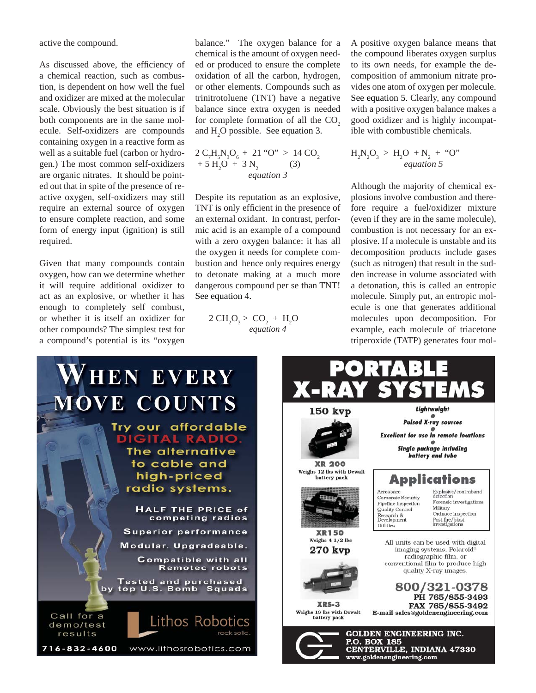active the compound.

As discussed above, the efficiency of a chemical reaction, such as combustion, is dependent on how well the fuel and oxidizer are mixed at the molecular scale. Obviously the best situation is if both components are in the same molecule. Self-oxidizers are compounds containing oxygen in a reactive form as well as a suitable fuel (carbon or hydrogen.) The most common self-oxidizers are organic nitrates. It should be pointed out that in spite of the presence of reactive oxygen, self-oxidizers may still require an external source of oxygen to ensure complete reaction, and some form of energy input (ignition) is still required.

Given that many compounds contain oxygen, how can we determine whether it will require additional oxidizer to act as an explosive, or whether it has enough to completely self combust, or whether it is itself an oxidizer for other compounds? The simplest test for a compound's potential is its "oxygen balance." The oxygen balance for a chemical is the amount of oxygen needed or produced to ensure the complete oxidation of all the carbon, hydrogen, or other elements. Compounds such as trinitrotoluene (TNT) have a negative balance since extra oxygen is needed for complete formation of all the  $CO<sub>2</sub>$ and  $H_2O$  possible. See equation 3.

$$
2 C_{7}H_{5}N_{3}O_{6} + 21 \text{ "O" } > 14 CO_{2}
$$
  
+ 5 H<sub>2</sub>O + 3 N<sub>2</sub> (3)  
equation 3

Despite its reputation as an explosive, TNT is only efficient in the presence of an external oxidant. In contrast, performic acid is an example of a compound with a zero oxygen balance: it has all the oxygen it needs for complete combustion and hence only requires energy to detonate making at a much more dangerous compound per se than TNT! See equation 4.

$$
2 \text{ CH}_2\text{O}_3 > \text{CO}_2 + \text{H}_2\text{O}
$$
  
equation 4

A positive oxygen balance means that the compound liberates oxygen surplus to its own needs, for example the decomposition of ammonium nitrate provides one atom of oxygen per molecule. See equation 5. Clearly, any compound with a positive oxygen balance makes a good oxidizer and is highly incompatible with combustible chemicals.

$$
H_2N_2O_3 > H_2O + N_2 + "O"
$$
  
equation 5

Although the majority of chemical explosions involve combustion and therefore require a fuel/oxidizer mixture (even if they are in the same molecule), combustion is not necessary for an explosive. If a molecule is unstable and its decomposition products include gases (such as nitrogen) that result in the sudden increase in volume associated with a detonation, this is called an entropic molecule. Simply put, an entropic molecule is one that generates additional molecules upon decomposition. For example, each molecule of triacetone triperoxide (TATP) generates four mol-

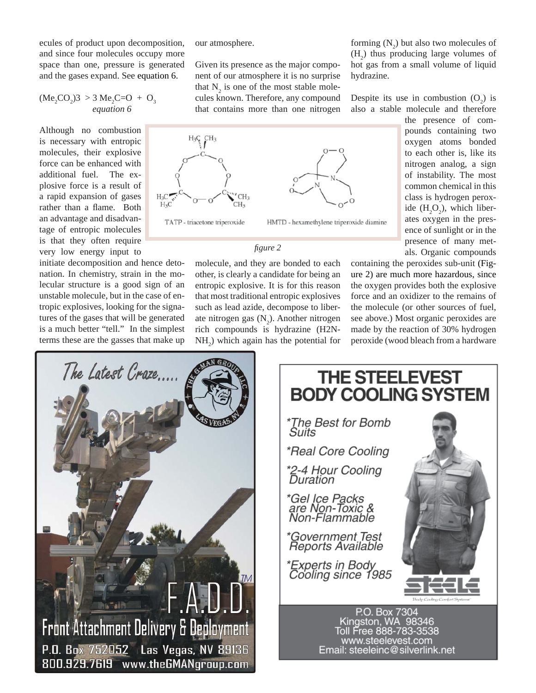ecules of product upon decomposition, and since four molecules occupy more space than one, pressure is generated and the gases expand. See equation 6.

$$
(\text{Me}_2\text{CO}_2)3 > 3 \text{ Me}_2\text{C}=0 + \text{O}_3
$$
  
equation 6

Although no combustion is necessary with entropic molecules, their explosive force can be enhanced with additional fuel. The explosive force is a result of a rapid expansion of gases rather than a flame. Both an advantage and disadvantage of entropic molecules is that they often require very low energy input to

initiate decomposition and hence detonation. In chemistry, strain in the molecular structure is a good sign of an unstable molecule, but in the case of entropic explosives, looking for the signatures of the gases that will be generated is a much better "tell." In the simplest terms these are the gasses that make up our atmosphere.

Given its presence as the major component of our atmosphere it is no surprise that  $N_2$  is one of the most stable molecules known. Therefore, any compound that contains more than one nitrogen



*fi gure 2*

molecule, and they are bonded to each other, is clearly a candidate for being an entropic explosive. It is for this reason that most traditional entropic explosives such as lead azide, decompose to liberate nitrogen gas  $(N_2)$ . Another nitrogen rich compounds is hydrazine (H2N- $NH<sub>2</sub>$ ) which again has the potential for

forming  $(N_2)$  but also two molecules of  $(H_2)$  thus producing large volumes of hot gas from a small volume of liquid hydrazine.

Despite its use in combustion  $(O_2)$  is also a stable molecule and therefore

> the presence of compounds containing two oxygen atoms bonded to each other is, like its nitrogen analog, a sign of instability. The most common chemical in this class is hydrogen peroxide  $(H_2O_2)$ , which liberates oxygen in the presence of sunlight or in the presence of many metals. Organic compounds

containing the peroxides sub-unit (Figure 2) are much more hazardous, since the oxygen provides both the explosive force and an oxidizer to the remains of the molecule (or other sources of fuel, see above.) Most organic peroxides are made by the reaction of 30% hydrogen peroxide (wood bleach from a hardware





Email: steeleinc@silverlink.net